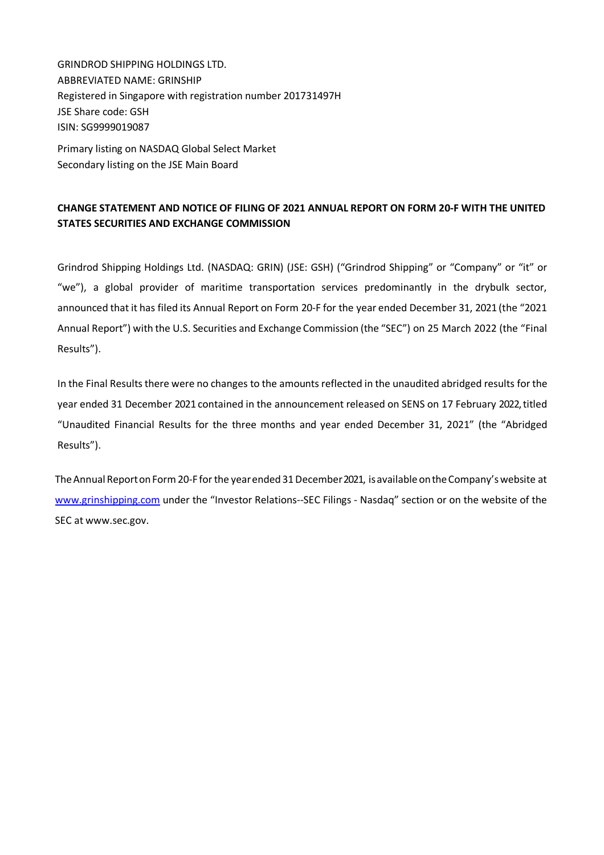GRINDROD SHIPPING HOLDINGS LTD. ABBREVIATED NAME: GRINSHIP Registered in Singapore with registration number 201731497H JSE Share code: GSH ISIN: SG9999019087

Primary listing on NASDAQ Global Select Market Secondary listing on the JSE Main Board

## **CHANGE STATEMENT AND NOTICE OF FILING OF 2021 ANNUAL REPORT ON FORM 20-F WITH THE UNITED STATES SECURITIES AND EXCHANGE COMMISSION**

Grindrod Shipping Holdings Ltd. (NASDAQ: GRIN) (JSE: GSH) ("Grindrod Shipping" or "Company" or "it" or "we"), a global provider of maritime transportation services predominantly in the drybulk sector, announced that it has filed its Annual Report on Form 20-F for the year ended December 31, 2021 (the "2021 Annual Report") with the U.S. Securities and Exchange Commission (the "SEC") on 25 March 2022 (the "Final Results").

In the Final Results there were no changes to the amounts reflected in the unaudited abridged results for the year ended 31 December 2021 contained in the announcement released on SENS on 17 February 2022, titled "Unaudited Financial Results for the three months and year ended December 31, 2021" (the "Abridged Results").

The Annual Report on Form 20-F for the year ended 31 December 2021, is available on the Company's website at www.grinshipping.com under the "Investor Relations--SEC Filings - Nasdaq" section or on the website of the SEC at www.sec.gov.